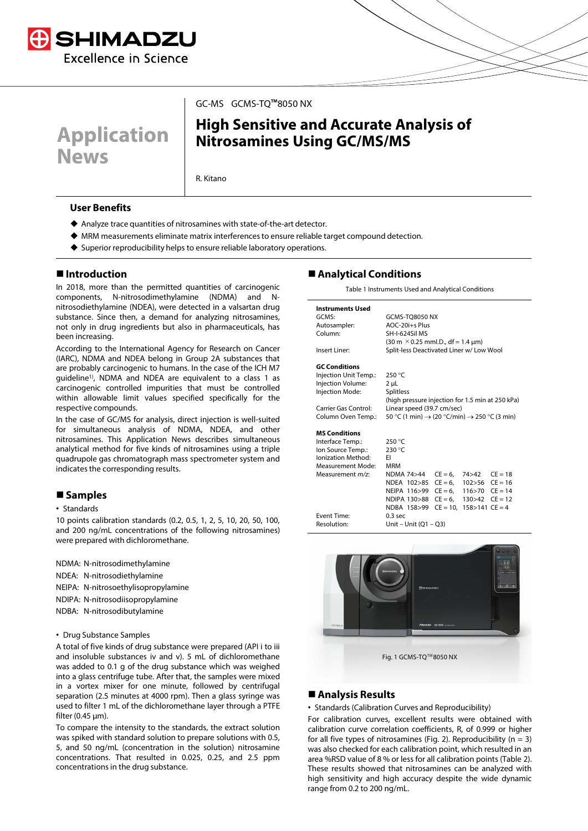



## GC-MS GCMS-TQ™8050 NX

# **High Sensitive and Accurate Analysis of Nitrosamines Using GC/MS/MS**

R. Kitano

## **User Benefits**

- Analyze trace quantities of nitrosamines with state-of-the-art detector.
- MRM measurements eliminate matrix interferences to ensure reliable target compound detection.
- ◆ Superior reproducibility helps to ensure reliable laboratory operations.

## **Introduction**

In 2018, more than the permitted quantities of carcinogenic components, N-nitrosodimethylamine (NDMA) and Nnitrosodiethylamine (NDEA), were detected in a valsartan drug substance. Since then, a demand for analyzing nitrosamines, not only in drug ingredients but also in pharmaceuticals, has been increasing.

According to the International Agency for Research on Cancer (IARC), NDMA and NDEA belong in Group 2A substances that are probably carcinogenic to humans. In the case of the ICH M7 guideline<sup>1)</sup>, NDMA and NDEA are equivalent to a class 1 as carcinogenic controlled impurities that must be controlled within allowable limit values specified specifically for the respective compounds.

In the case of GC/MS for analysis, direct injection is well-suited for simultaneous analysis of NDMA, NDEA, and other nitrosamines. This Application News describes simultaneous analytical method for five kinds of nitrosamines using a triple quadrupole gas chromatograph mass spectrometer system and indicates the corresponding results.

# **Samples**

#### • Standards

10 points calibration standards (0.2, 0.5, 1, 2, 5, 10, 20, 50, 100, and 200 ng/mL concentrations of the following nitrosamines) were prepared with dichloromethane.

NDMA: N-nitrosodimethylamine NDEA: N-nitrosodiethylamine NEIPA: N-nitrosoethylisopropylamine

- NDIPA: N-nitrosodiisopropylamine
- NDBA: N-nitrosodibutylamine

#### • Drug Substance Samples

A total of five kinds of drug substance were prepared (API i to iii and insoluble substances iv and v). 5 mL of dichloromethane was added to 0.1 g of the drug substance which was weighed into a glass centrifuge tube. After that, the samples were mixed in a vortex mixer for one minute, followed by centrifugal separation (2.5 minutes at 4000 rpm). Then a glass syringe was used to filter 1 mL of the dichloromethane layer through a PTFE filter (0.45 μm).

To compare the intensity to the standards, the extract solution was spiked with standard solution to prepare solutions with 0.5, 5, and 50 ng/mL (concentration in the solution) nitrosamine concentrations. That resulted in 0.025, 0.25, and 2.5 ppm concentrations in the drug substance.

# **Analytical Conditions**

Table 1 Instruments Used and Analytical Conditions

| <b>Instruments Used</b>  |                                                                      |                                          |                                  |  |  |  |  |
|--------------------------|----------------------------------------------------------------------|------------------------------------------|----------------------------------|--|--|--|--|
| GCMS:                    | <b>GCMS-TQ8050 NX</b>                                                |                                          |                                  |  |  |  |  |
| Autosampler:             | AOC-20i+s Plus                                                       |                                          |                                  |  |  |  |  |
| Column:                  | SH-I-624Sil MS                                                       |                                          |                                  |  |  |  |  |
|                          | $(30 \text{ m} \times 0.25 \text{ mm}$ l.D., df = 1.4 µm)            |                                          |                                  |  |  |  |  |
| Insert Liner:            |                                                                      | Split-less Deactivated Liner w/ Low Wool |                                  |  |  |  |  |
| <b>GC Conditions</b>     |                                                                      |                                          |                                  |  |  |  |  |
| Injection Unit Temp.:    | 250 °C                                                               |                                          |                                  |  |  |  |  |
| Injection Volume:        | $2 \mu L$                                                            |                                          |                                  |  |  |  |  |
| Injection Mode:          | <b>Splitless</b>                                                     |                                          |                                  |  |  |  |  |
|                          | (high pressure injection for 1.5 min at 250 kPa)                     |                                          |                                  |  |  |  |  |
| Carrier Gas Control:     | Linear speed (39.7 cm/sec)                                           |                                          |                                  |  |  |  |  |
| Column Oven Temp.:       | 50 °C (1 min) $\rightarrow$ (20 °C/min) $\rightarrow$ 250 °C (3 min) |                                          |                                  |  |  |  |  |
| <b>MS Conditions</b>     |                                                                      |                                          |                                  |  |  |  |  |
| Interface Temp.:         | 250 °C                                                               |                                          |                                  |  |  |  |  |
| Ion Source Temp.:        | 230 °C                                                               |                                          |                                  |  |  |  |  |
| Ionization Method:       | FI.                                                                  |                                          |                                  |  |  |  |  |
| <b>Measurement Mode:</b> | <b>MRM</b>                                                           |                                          |                                  |  |  |  |  |
| Measurement m/z:         | NDMA 74>44                                                           |                                          | $CE = 6$ , $74 > 42$ $CE = 18$   |  |  |  |  |
|                          | NDEA $102 > 85$ CE = 6. $102 > 56$ CE = 16                           |                                          |                                  |  |  |  |  |
|                          | NEIPA 116>99                                                         |                                          | $CE = 6$ , 116>70 $CE = 14$      |  |  |  |  |
|                          | NDIPA 130>88 CE = 6, 130>42 CE = 12                                  |                                          |                                  |  |  |  |  |
|                          | NDBA 158>99                                                          |                                          | $CE = 10$ , $158 > 141$ $CE = 4$ |  |  |  |  |
| <b>Event Time:</b>       | $0.3$ sec                                                            |                                          |                                  |  |  |  |  |
| Resolution:              | Unit - Unit $(Q1 - Q3)$                                              |                                          |                                  |  |  |  |  |



Fig. 1 GCMS-TQ™8050 NX

## **Analysis Results**

• Standards (Calibration Curves and Reproducibility)

For calibration curves, excellent results were obtained with calibration curve correlation coefficients, R, of 0.999 or higher for all five types of nitrosamines (Fig. 2). Reproducibility ( $n = 3$ ) was also checked for each calibration point, which resulted in an area %RSD value of 8 % or less for all calibration points (Table 2). These results showed that nitrosamines can be analyzed with high sensitivity and high accuracy despite the wide dynamic range from 0.2 to 200 ng/mL.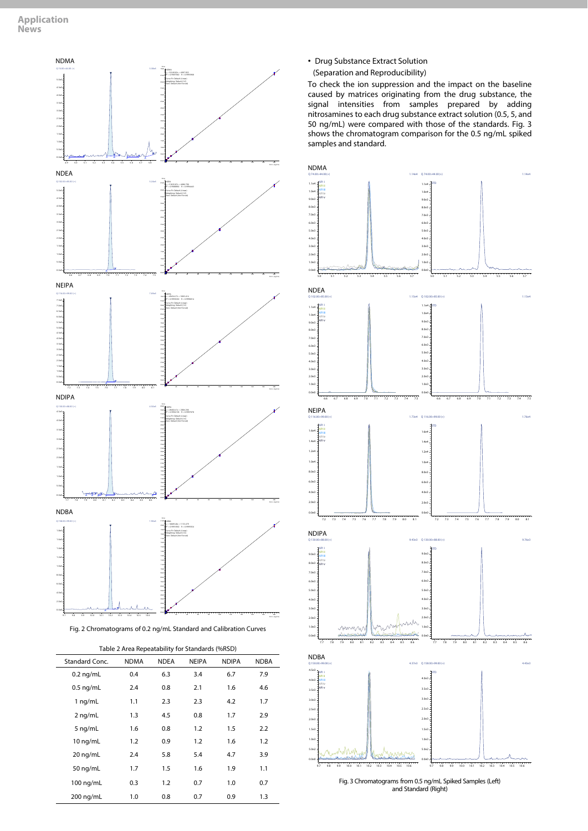

Fig. 2 Chromatograms of 0.2 ng/mL Standard and Calibration Curves

| Table 2 Area Repeatability for Standards (%RSD) |  |  |
|-------------------------------------------------|--|--|

| Standard Conc. | <b>NDMA</b> | <b>NDEA</b> | <b>NEIPA</b> | <b>NDIPA</b> | <b>NDBA</b> |
|----------------|-------------|-------------|--------------|--------------|-------------|
| $0.2$ ng/mL    | 0.4         | 6.3         | 3.4          | 6.7          | 7.9         |
| $0.5$ ng/mL    | 2.4         | 0.8         | 2.1          | 1.6          | 4.6         |
| $1$ ng/mL      | 1.1         | 2.3         | 2.3          | 4.2          | 1.7         |
| 2 ng/mL        | 1.3         | 4.5         | 0.8          | 1.7          | 2.9         |
| 5 ng/mL        | 1.6         | 0.8         | 1.2          | 1.5          | 2.2         |
| 10 ng/mL       | 1.2         | 0.9         | 1.2          | 1.6          | 1.2         |
| 20 ng/mL       | 2.4         | 5.8         | 5.4          | 4.7          | 3.9         |
| 50 ng/mL       | 1.7         | 1.5         | 1.6          | 1.9          | 1.1         |
| 100 ng/mL      | 0.3         | 1.2         | 0.7          | 1.0          | 0.7         |
| 200 ng/mL      | 1.0         | 0.8         | 0.7          | 0.9          | 1.3         |

• Drug Substance Extract Solution

(Separation and Reproducibility)

To check the ion suppression and the impact on the baseline caused by matrices originating from the drug substance, the signal intensities from samples prepared by adding nitrosamines to each drug substance extract solution (0.5, 5, and 50 ng/mL) were compared with those of the standards. Fig. 3 shows the chromatogram comparison for the 0.5 ng/mL spiked samples and standard.